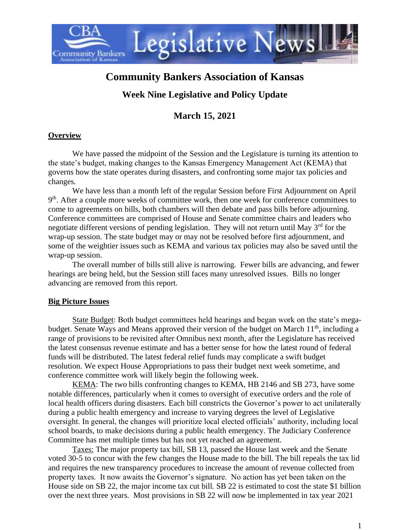

# **Community Bankers Association of Kansas**

# **Week Nine Legislative and Policy Update**

# **March 15, 2021**

### **Overview**

We have passed the midpoint of the Session and the Legislature is turning its attention to the state's budget, making changes to the Kansas Emergency Management Act (KEMA) that governs how the state operates during disasters, and confronting some major tax policies and changes.

We have less than a month left of the regular Session before First Adjournment on April 9<sup>th</sup>. After a couple more weeks of committee work, then one week for conference committees to come to agreements on bills, both chambers will then debate and pass bills before adjourning. Conference committees are comprised of House and Senate committee chairs and leaders who negotiate different versions of pending legislation. They will not return until May  $3<sup>rd</sup>$  for the wrap-up session. The state budget may or may not be resolved before first adjournment, and some of the weightier issues such as KEMA and various tax policies may also be saved until the wrap-up session.

The overall number of bills still alive is narrowing. Fewer bills are advancing, and fewer hearings are being held, but the Session still faces many unresolved issues. Bills no longer advancing are removed from this report.

### **Big Picture Issues**

State Budget: Both budget committees held hearings and began work on the state's megabudget. Senate Ways and Means approved their version of the budget on March  $11<sup>th</sup>$ , including a range of provisions to be revisited after Omnibus next month, after the Legislature has received the latest consensus revenue estimate and has a better sense for how the latest round of federal funds will be distributed. The latest federal relief funds may complicate a swift budget resolution. We expect House Appropriations to pass their budget next week sometime, and conference committee work will likely begin the following week.

KEMA: The two bills confronting changes to KEMA, HB 2146 and SB 273, have some notable differences, particularly when it comes to oversight of executive orders and the role of local health officers during disasters. Each bill constricts the Governor's power to act unilaterally during a public health emergency and increase to varying degrees the level of Legislative oversight. In general, the changes will prioritize local elected officials' authority, including local school boards, to make decisions during a public health emergency. The Judiciary Conference Committee has met multiple times but has not yet reached an agreement.

Taxes: The major property tax bill, SB 13, passed the House last week and the Senate voted 30-5 to concur with the few changes the House made to the bill. The bill repeals the tax lid and requires the new transparency procedures to increase the amount of revenue collected from property taxes. It now awaits the Governor's signature. No action has yet been taken on the House side on SB 22, the major income tax cut bill. SB 22 is estimated to cost the state \$1 billion over the next three years. Most provisions in SB 22 will now be implemented in tax year 2021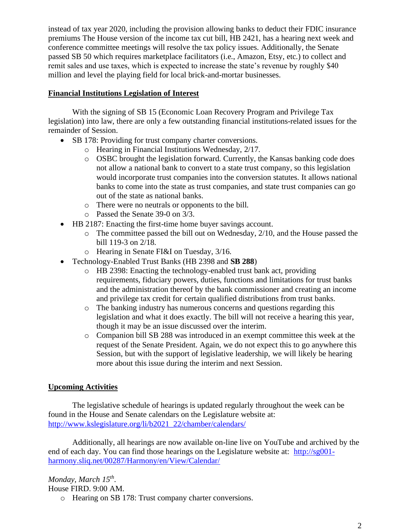instead of tax year 2020, including the provision allowing banks to deduct their FDIC insurance premiums The House version of the income tax cut bill, HB 2421, has a hearing next week and conference committee meetings will resolve the tax policy issues. Additionally, the Senate passed SB 50 which requires marketplace facilitators (i.e., Amazon, Etsy, etc.) to collect and remit sales and use taxes, which is expected to increase the state's revenue by roughly \$40 million and level the playing field for local brick-and-mortar businesses.

#### **Financial Institutions Legislation of Interest**

With the signing of SB 15 (Economic Loan Recovery Program and Privilege Tax legislation) into law, there are only a few outstanding financial institutions-related issues for the remainder of Session.

- SB 178: Providing for trust company charter conversions.
	- o Hearing in Financial Institutions Wednesday, 2/17.
	- $\circ$  OSBC brought the legislation forward. Currently, the Kansas banking code does not allow a national bank to convert to a state trust company, so this legislation would incorporate trust companies into the conversion statutes. It allows national banks to come into the state as trust companies, and state trust companies can go out of the state as national banks.
	- o There were no neutrals or opponents to the bill.
	- o Passed the Senate 39-0 on 3/3.
- HB 2187: Enacting the first-time home buyer savings account.
	- o The committee passed the bill out on Wednesday, 2/10, and the House passed the bill 119-3 on 2/18.
	- o Hearing in Senate FI&I on Tuesday, 3/16.
- Technology-Enabled Trust Banks (HB 2398 and **SB 288**)
	- o HB 2398: Enacting the technology-enabled trust bank act, providing requirements, fiduciary powers, duties, functions and limitations for trust banks and the administration thereof by the bank commissioner and creating an income and privilege tax credit for certain qualified distributions from trust banks.
	- o The banking industry has numerous concerns and questions regarding this legislation and what it does exactly. The bill will not receive a hearing this year, though it may be an issue discussed over the interim.
	- o Companion bill SB 288 was introduced in an exempt committee this week at the request of the Senate President. Again, we do not expect this to go anywhere this Session, but with the support of legislative leadership, we will likely be hearing more about this issue during the interim and next Session.

### **Upcoming Activities**

The legislative schedule of hearings is updated regularly throughout the week can be found in the House and Senate calendars on the Legislature website at: [http://www.kslegislature.org/li/b2021\\_22/chamber/calendars/](http://www.kslegislature.org/li/b2021_22/chamber/calendars/)

Additionally, all hearings are now available on-line live on YouTube and archived by the end of each day. You can find those hearings on the Legislature website at: [http://sg001](http://sg001-harmony.sliq.net/00287/Harmony/en/View/Calendar/) [harmony.sliq.net/00287/Harmony/en/View/Calendar/](http://sg001-harmony.sliq.net/00287/Harmony/en/View/Calendar/)

*Monday, March 15th .*  House FIRD. 9:00 AM.

o Hearing on SB 178: Trust company charter conversions.